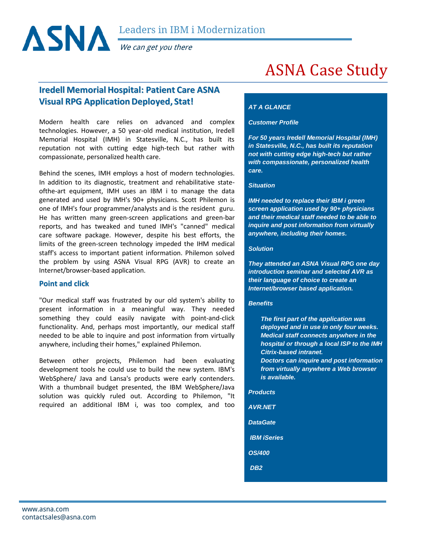

We can get you there

# ASNA Case Study

# **Iredell Memorial Hospital: Patient Care ASNA Visual RPG ApplicationDeployed, Stat!**

Modern health care relies on advanced and complex technologies. However, a 50 year-old medical institution, Iredell Memorial Hospital (IMH) in Statesville, N.C., has built its reputation not with cutting edge high-tech but rather with compassionate, personalized health care.

Behind the scenes, IMH employs a host of modern technologies. In addition to its diagnostic, treatment and rehabilitative stateofthe-art equipment, IMH uses an IBM i to manage the data generated and used by IMH's 90+ physicians. Scott Philemon is one of IMH's four programmer/analysts and is the resident guru. He has written many green-screen applications and green-bar reports, and has tweaked and tuned IMH's "canned" medical care software package. However, despite his best efforts, the limits of the green-screen technology impeded the IHM medical staff's access to important patient information. Philemon solved the problem by using ASNA Visual RPG (AVR) to create an Internet/browser-based application.

# **Point and click**

"Our medical staff was frustrated by our old system's ability to present information in a meaningful way. They needed something they could easily navigate with point-and-click functionality. And, perhaps most importantly, our medical staff needed to be able to inquire and post information from virtually anywhere, including their homes," explained Philemon.

Between other projects, Philemon had been evaluating development tools he could use to build the new system. IBM's WebSphere/ Java and Lansa's products were early contenders. With a thumbnail budget presented, the IBM WebSphere/Java solution was quickly ruled out. According to Philemon, "It required an additional IBM i, was too complex, and too

# *AT A GLANCE*

#### *Customer Profile*

*For 50 years Iredell Memorial Hospital (IMH) in Statesville, N.C., has built its reputation not with cutting edge high-tech but rather with compassionate, personalized health care.*

#### *Situation*

*IMH needed to replace their IBM i green screen application used by 90+ physicians and their medical staff needed to be able to inquire and post information from virtually anywhere, including their homes.*

#### *Solution*

*They attended an ASNA Visual RPG one day introduction seminar and selected AVR as their language of choice to create an Internet/browser based application.*

#### *Benefits*

*The first part of the application was deployed and in use in only four weeks. Medical staff connects anywhere in the hospital or through a local ISP to the IMH Citrix-based intranet.*

*Doctors can inquire and post information from virtually anywhere a Web browser is available.* 

*Products* 

- *AVR.NET*
- *DataGate*
- *IBM iSeries*
- *OS/400*
- *DB2*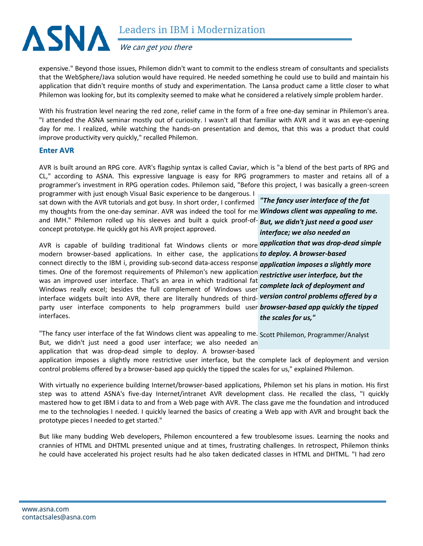

expensive." Beyond those issues, Philemon didn't want to commit to the endless stream of consultants and specialists that the WebSphere/Java solution would have required. He needed something he could use to build and maintain his application that didn't require months of study and experimentation. The Lansa product came a little closer to what Philemon was looking for, but its complexity seemed to make what he considered a relatively simple problem harder.

With his frustration level nearing the red zone, relief came in the form of a free one-day seminar in Philemon's area. "I attended the ASNA seminar mostly out of curiosity. I wasn't all that familiar with AVR and it was an eye-opening day for me. I realized, while watching the hands-on presentation and demos, that this was a product that could improve productivity very quickly," recalled Philemon.

### **Enter AVR**

AVR is built around an RPG core. AVR's flagship syntax is called Caviar, which is "a blend of the best parts of RPG and CL," according to ASNA. This expressive language is easy for RPG programmers to master and retains all of a programmer's investment in RPG operation codes. Philemon said, "Before this project, I was basically a green-screen programmer with just enough Visual Basic experience to be dangerous. I

sat down with the AVR tutorials and got busy. In short order, I confirmed *"The fancy user interface of the fat* my thoughts from the one-day seminar. AVR was indeed the tool for me *Windows client was appealing to me.*  and IMH." Philemon rolled up his sleeves and built a quick proof-of-*But, we didn't just need a good user*  concept prototype. He quickly got his AVR project approved. *interface; we also needed an* 

AVR is capable of building traditional fat Windows clients or more *application that was drop-dead simple*  modern browser-based applications. In either case, the applications *to deploy. A browser-based* connect directly to the IBM i, providing sub-second data-access response *application imposes a slightly more*  times. One of the foremost requirements of Philemon's new application *restrictive user interface, but the*  was an improved user interface. That's an area in which traditional fat Windows really excel; besides the full complement of Windows user *complete lack of deployment and*  interface widgets built into AVR, there are literally hundreds of third-*version control problems offered by a*  party user interface components to help programmers build user *browser-based app quickly the tipped*  interfaces. *the scales for us,"*

"The fancy user interface of the fat Windows client was appealing to me. Scott Philemon, Programmer/Analyst But, we didn't just need a good user interface; we also needed an application that was drop-dead simple to deploy. A browser-based application imposes a slightly more restrictive user interface, but the complete lack of deployment and version control problems offered by a browser-based app quickly the tipped the scales for us," explained Philemon.

With virtually no experience building Internet/browser-based applications, Philemon set his plans in motion. His first step was to attend ASNA's five-day Internet/intranet AVR development class. He recalled the class, "I quickly mastered how to get IBM i data to and from a Web page with AVR. The class gave me the foundation and introduced me to the technologies I needed. I quickly learned the basics of creating a Web app with AVR and brought back the prototype pieces I needed to get started."

But like many budding Web developers, Philemon encountered a few troublesome issues. Learning the nooks and crannies of HTML and DHTML presented unique and at times, frustrating challenges. In retrospect, Philemon thinks he could have accelerated his project results had he also taken dedicated classes in HTML and DHTML. "I had zero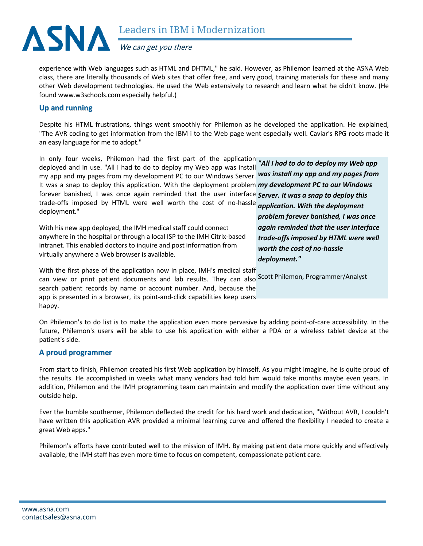

We can get you there

experience with Web languages such as HTML and DHTML," he said. However, as Philemon learned at the ASNA Web class, there are literally thousands of Web sites that offer free, and very good, training materials for these and many other Web development technologies. He used the Web extensively to research and learn what he didn't know. (He found [www.w3schools.com](http://www.w3schools.com/) especially helpful.)

# **Up and running**

Despite his HTML frustrations, things went smoothly for Philemon as he developed the application. He explained, "The AVR coding to get information from the IBM i to the Web page went especially well. Caviar's RPG roots made it an easy language for me to adopt."

In only four weeks, Philemon had the first part of the application *"All I had to do to deploy my Web app*  deployed and in use. "All I had to do to deploy my Web app was install my app and my pages from my development PC to our Windows Server. *was install my app and my pages from*  It was a snap to deploy this application. With the deployment problem *my development PC to our Windows*  forever banished, I was once again reminded that the user interface *Server. It was a snap to deploy this*  trade-offs imposed by HTML were well worth the cost of no-hassle deployment." *application. With the deployment* 

With his new app deployed, the IMH medical staff could connect anywhere in the hospital or through a local ISP to the IMH Citrix-based intranet. This enabled doctors to inquire and post information from virtually anywhere a Web browser is available.

*problem forever banished, I was once again reminded that the user interface trade-offs imposed by HTML were well worth the cost of no-hassle deployment."*

With the first phase of the application now in place, IMH's medical staff

can view or print patient documents and lab results. They can also Scott Philemon, Programmer/Analyst search patient records by name or account number. And, because the app is presented in a browser, its point-and-click capabilities keep users happy.

On Philemon's to do list is to make the application even more pervasive by adding point-of-care accessibility. In the future, Philemon's users will be able to use his application with either a PDA or a wireless tablet device at the patient's side.

# **A proud programmer**

From start to finish, Philemon created his first Web application by himself. As you might imagine, he is quite proud of the results. He accomplished in weeks what many vendors had told him would take months maybe even years. In addition, Philemon and the IMH programming team can maintain and modify the application over time without any outside help.

Ever the humble southerner, Philemon deflected the credit for his hard work and dedication, "Without AVR, I couldn't have written this application AVR provided a minimal learning curve and offered the flexibility I needed to create a great Web apps."

Philemon's efforts have contributed well to the mission of IMH. By making patient data more quickly and effectively available, the IMH staff has even more time to focus on competent, compassionate patient care.